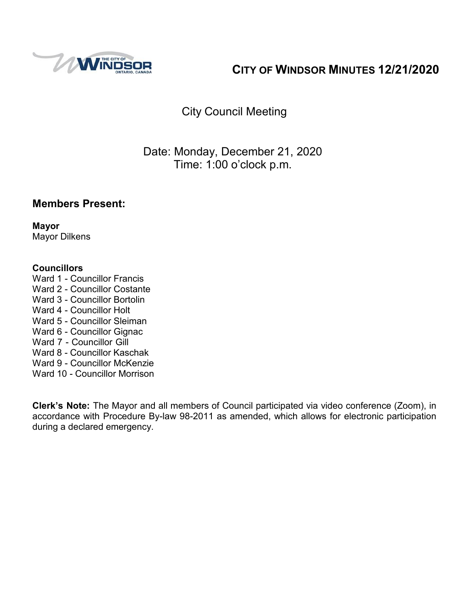

# **CITY OF WINDSOR MINUTES 12/21/2020**

# City Council Meeting

# Date: Monday, December 21, 2020 Time: 1:00 o'clock p.m.

# **Members Present:**

**Mayor** Mayor Dilkens

#### **Councillors**

- Ward 1 Councillor Francis
- Ward 2 Councillor Costante
- Ward 3 Councillor Bortolin
- Ward 4 Councillor Holt
- Ward 5 Councillor Sleiman
- Ward 6 Councillor Gignac
- Ward 7 Councillor Gill
- Ward 8 Councillor Kaschak
- Ward 9 Councillor McKenzie
- Ward 10 Councillor Morrison

**Clerk's Note:** The Mayor and all members of Council participated via video conference (Zoom), in accordance with Procedure By-law 98-2011 as amended, which allows for electronic participation during a declared emergency.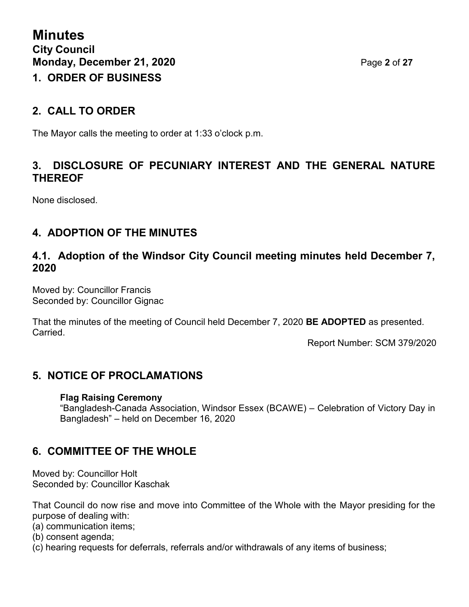# **2. CALL TO ORDER**

The Mayor calls the meeting to order at 1:33 o'clock p.m.

# **3. DISCLOSURE OF PECUNIARY INTEREST AND THE GENERAL NATURE THEREOF**

None disclosed.

# **4. ADOPTION OF THE MINUTES**

### **4.1. Adoption of the Windsor City Council meeting minutes held December 7, 2020**

Moved by: Councillor Francis Seconded by: Councillor Gignac

That the minutes of the meeting of Council held December 7, 2020 **BE ADOPTED** as presented. Carried.

Report Number: SCM 379/2020

# **5. NOTICE OF PROCLAMATIONS**

#### **Flag Raising Ceremony**

"Bangladesh-Canada Association, Windsor Essex (BCAWE) – Celebration of Victory Day in Bangladesh" – held on December 16, 2020

# **6. COMMITTEE OF THE WHOLE**

Moved by: Councillor Holt Seconded by: Councillor Kaschak

That Council do now rise and move into Committee of the Whole with the Mayor presiding for the purpose of dealing with:

(a) communication items;

- (b) consent agenda;
- (c) hearing requests for deferrals, referrals and/or withdrawals of any items of business;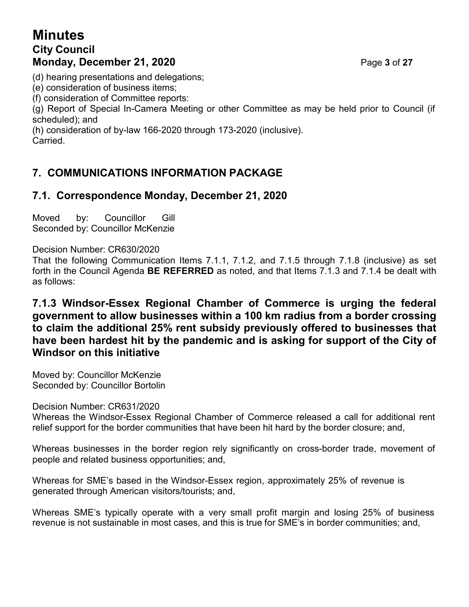# **Minutes City Council Monday, December 21, 2020 Page 3 of 27**

(d) hearing presentations and delegations;

(e) consideration of business items;

(f) consideration of Committee reports:

(g) Report of Special In-Camera Meeting or other Committee as may be held prior to Council (if scheduled); and

(h) consideration of by-law 166-2020 through 173-2020 (inclusive). Carried.

# **7. COMMUNICATIONS INFORMATION PACKAGE**

# **7.1. Correspondence Monday, December 21, 2020**

Moved by: Councillor Gill Seconded by: Councillor McKenzie

Decision Number: CR630/2020

That the following Communication Items 7.1.1, 7.1.2, and 7.1.5 through 7.1.8 (inclusive) as set forth in the Council Agenda **BE REFERRED** as noted, and that Items 7.1.3 and 7.1.4 be dealt with as follows:

**7.1.3 Windsor-Essex Regional Chamber of Commerce is urging the federal government to allow businesses within a 100 km radius from a border crossing to claim the additional 25% rent subsidy previously offered to businesses that have been hardest hit by the pandemic and is asking for support of the City of Windsor on this initiative**

Moved by: Councillor McKenzie Seconded by: Councillor Bortolin

Decision Number: CR631/2020

Whereas the Windsor-Essex Regional Chamber of Commerce released a call for additional rent relief support for the border communities that have been hit hard by the border closure; and,

Whereas businesses in the border region rely significantly on cross-border trade, movement of people and related business opportunities; and,

Whereas for SME's based in the Windsor-Essex region, approximately 25% of revenue is generated through American visitors/tourists; and,

Whereas SME's typically operate with a very small profit margin and losing 25% of business revenue is not sustainable in most cases, and this is true for SME's in border communities; and,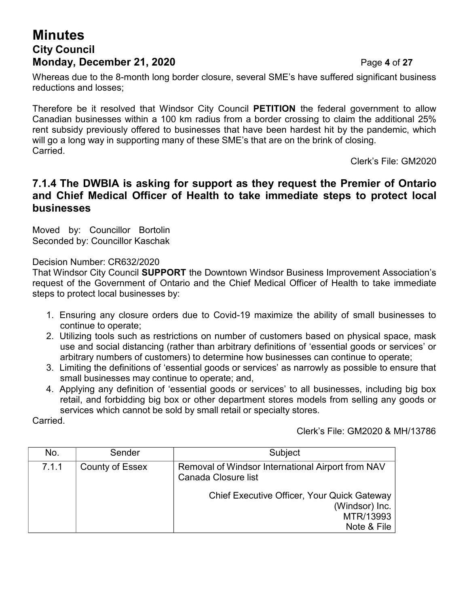# **Minutes City Council Monday, December 21, 2020 Page 4 of 27**

Whereas due to the 8-month long border closure, several SME's have suffered significant business reductions and losses;

Therefore be it resolved that Windsor City Council **PETITION** the federal government to allow Canadian businesses within a 100 km radius from a border crossing to claim the additional 25% rent subsidy previously offered to businesses that have been hardest hit by the pandemic, which will go a long way in supporting many of these SME's that are on the brink of closing. Carried.

Clerk's File: GM2020

#### **7.1.4 The DWBIA is asking for support as they request the Premier of Ontario and Chief Medical Officer of Health to take immediate steps to protect local businesses**

Moved by: Councillor Bortolin Seconded by: Councillor Kaschak

Decision Number: CR632/2020

That Windsor City Council **SUPPORT** the Downtown Windsor Business Improvement Association's request of the Government of Ontario and the Chief Medical Officer of Health to take immediate steps to protect local businesses by:

- 1. Ensuring any closure orders due to Covid-19 maximize the ability of small businesses to continue to operate;
- 2. Utilizing tools such as restrictions on number of customers based on physical space, mask use and social distancing (rather than arbitrary definitions of 'essential goods or services' or arbitrary numbers of customers) to determine how businesses can continue to operate;
- 3. Limiting the definitions of 'essential goods or services' as narrowly as possible to ensure that small businesses may continue to operate; and,
- 4. Applying any definition of 'essential goods or services' to all businesses, including big box retail, and forbidding big box or other department stores models from selling any goods or services which cannot be sold by small retail or specialty stores.

Carried.

Clerk's File: GM2020 & MH/13786

| No.   | Sender                 | Subject                                                                                                                                                               |  |
|-------|------------------------|-----------------------------------------------------------------------------------------------------------------------------------------------------------------------|--|
| 7.1.1 | <b>County of Essex</b> | Removal of Windsor International Airport from NAV<br>Canada Closure list<br>Chief Executive Officer, Your Quick Gateway<br>(Windsor) Inc.<br>MTR/13993<br>Note & File |  |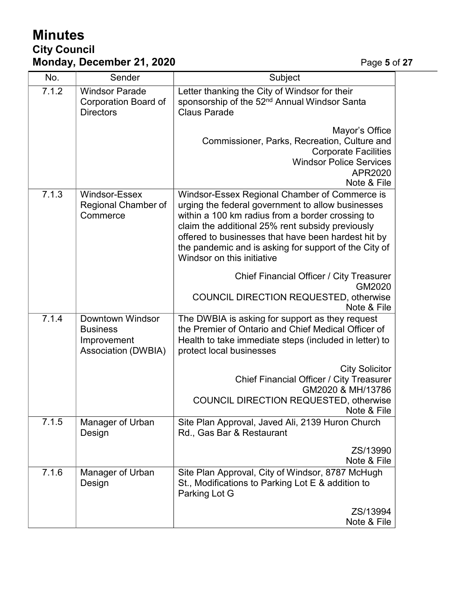# **Minutes City Council Monday, December 21, 2020** Page **5** of **27**

| No.   | Sender                                                                           | Subject                                                                                                                                                                                                                                                                                                                                                  |
|-------|----------------------------------------------------------------------------------|----------------------------------------------------------------------------------------------------------------------------------------------------------------------------------------------------------------------------------------------------------------------------------------------------------------------------------------------------------|
| 7.1.2 | <b>Windsor Parade</b><br>Corporation Board of<br><b>Directors</b>                | Letter thanking the City of Windsor for their<br>sponsorship of the 52 <sup>nd</sup> Annual Windsor Santa<br><b>Claus Parade</b>                                                                                                                                                                                                                         |
|       |                                                                                  | Mayor's Office<br>Commissioner, Parks, Recreation, Culture and<br><b>Corporate Facilities</b><br><b>Windsor Police Services</b><br>APR2020<br>Note & File                                                                                                                                                                                                |
| 7.1.3 | Windsor-Essex<br>Regional Chamber of<br>Commerce                                 | Windsor-Essex Regional Chamber of Commerce is<br>urging the federal government to allow businesses<br>within a 100 km radius from a border crossing to<br>claim the additional 25% rent subsidy previously<br>offered to businesses that have been hardest hit by<br>the pandemic and is asking for support of the City of<br>Windsor on this initiative |
|       |                                                                                  | Chief Financial Officer / City Treasurer<br>GM2020<br><b>COUNCIL DIRECTION REQUESTED, otherwise</b><br>Note & File                                                                                                                                                                                                                                       |
| 7.1.4 | Downtown Windsor<br><b>Business</b><br>Improvement<br><b>Association (DWBIA)</b> | The DWBIA is asking for support as they request<br>the Premier of Ontario and Chief Medical Officer of<br>Health to take immediate steps (included in letter) to<br>protect local businesses                                                                                                                                                             |
|       |                                                                                  | <b>City Solicitor</b><br>Chief Financial Officer / City Treasurer<br>GM2020 & MH/13786<br>COUNCIL DIRECTION REQUESTED, otherwise<br>Note & File                                                                                                                                                                                                          |
| 7.1.5 | Manager of Urban<br>Design                                                       | Site Plan Approval, Javed Ali, 2139 Huron Church<br>Rd., Gas Bar & Restaurant                                                                                                                                                                                                                                                                            |
|       |                                                                                  | ZS/13990<br>Note & File                                                                                                                                                                                                                                                                                                                                  |
| 7.1.6 | Manager of Urban<br>Design                                                       | Site Plan Approval, City of Windsor, 8787 McHugh<br>St., Modifications to Parking Lot E & addition to<br>Parking Lot G                                                                                                                                                                                                                                   |
|       |                                                                                  | ZS/13994<br>Note & File                                                                                                                                                                                                                                                                                                                                  |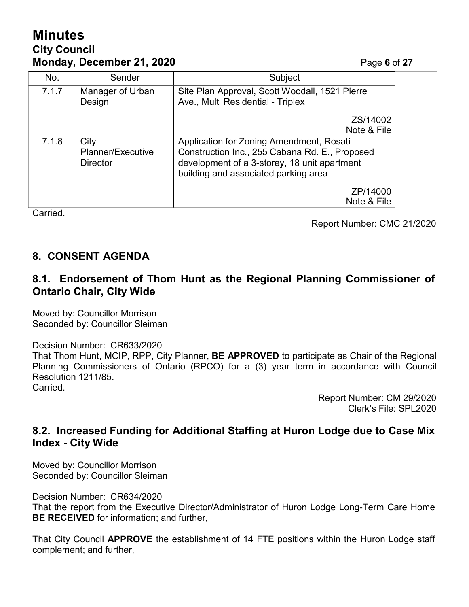# **Minutes City Council Monday, December 21, 2020 Page 6** of 27

| No.                  | Sender                                       | Subject                                                                                                                                                                            |  |
|----------------------|----------------------------------------------|------------------------------------------------------------------------------------------------------------------------------------------------------------------------------------|--|
| 7.1.7                | Manager of Urban<br>Design                   | Site Plan Approval, Scott Woodall, 1521 Pierre<br>Ave., Multi Residential - Triplex                                                                                                |  |
|                      |                                              | ZS/14002<br>Note & File                                                                                                                                                            |  |
| 7.1.8                | City<br>Planner/Executive<br><b>Director</b> | Application for Zoning Amendment, Rosati<br>Construction Inc., 255 Cabana Rd. E., Proposed<br>development of a 3-storey, 18 unit apartment<br>building and associated parking area |  |
| $\sim$ $\sim$ $\sim$ |                                              | ZP/14000<br>Note & File                                                                                                                                                            |  |

Carried.

Report Number: CMC 21/2020

# **8. CONSENT AGENDA**

#### **8.1. Endorsement of Thom Hunt as the Regional Planning Commissioner of Ontario Chair, City Wide**

Moved by: Councillor Morrison Seconded by: Councillor Sleiman

Decision Number: CR633/2020 That Thom Hunt, MCIP, RPP, City Planner, **BE APPROVED** to participate as Chair of the Regional Planning Commissioners of Ontario (RPCO) for a (3) year term in accordance with Council Resolution 1211/85. Carried.

> Report Number: CM 29/2020 Clerk's File: SPL2020

#### **8.2. Increased Funding for Additional Staffing at Huron Lodge due to Case Mix Index - City Wide**

Moved by: Councillor Morrison Seconded by: Councillor Sleiman

Decision Number: CR634/2020

That the report from the Executive Director/Administrator of Huron Lodge Long-Term Care Home **BE RECEIVED** for information; and further,

That City Council **APPROVE** the establishment of 14 FTE positions within the Huron Lodge staff complement; and further,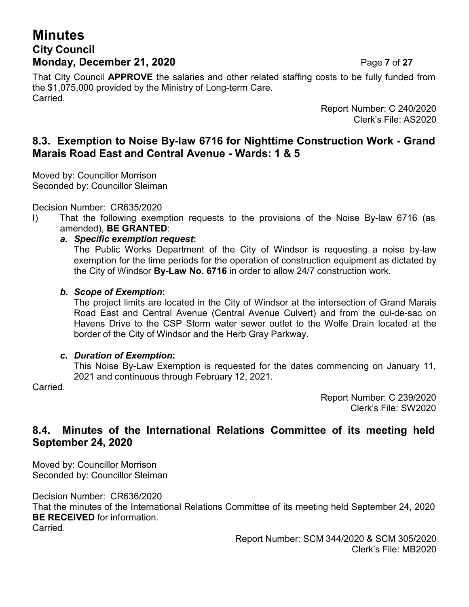# **Minutes City Council Monday, December 21, 2020 Page 7 of 27**

That City Council **APPROVE** the salaries and other related staffing costs to be fully funded from the \$1,075,000 provided by the Ministry of Long-term Care. Carried.

> Report Number: C 240/2020 Clerk's File: AS2020

### **8.3. Exemption to Noise By-law 6716 for Nighttime Construction Work - Grand Marais Road East and Central Avenue - Wards: 1 & 5**

Moved by: Councillor Morrison Seconded by: Councillor Sleiman

Decision Number: CR635/2020

- I) That the following exemption requests to the provisions of the Noise By-law 6716 (as amended), **BE GRANTED**:
	- *a. Specific exemption request***:**

The Public Works Department of the City of Windsor is requesting a noise by-law exemption for the time periods for the operation of construction equipment as dictated by the City of Windsor **By-Law No. 6716** in order to allow 24/7 construction work.

#### *b. Scope of Exemption***:**

The project limits are located in the City of Windsor at the intersection of Grand Marais Road East and Central Avenue (Central Avenue Culvert) and from the cul-de-sac on Havens Drive to the CSP Storm water sewer outlet to the Wolfe Drain located at the border of the City of Windsor and the Herb Gray Parkway.

#### *c. Duration of Exemption***:**

This Noise By-Law Exemption is requested for the dates commencing on January 11, 2021 and continuous through February 12, 2021.

Carried.

Report Number: C 239/2020 Clerk's File: SW2020

### **8.4. Minutes of the International Relations Committee of its meeting held September 24, 2020**

Moved by: Councillor Morrison Seconded by: Councillor Sleiman

Decision Number: CR636/2020

That the minutes of the International Relations Committee of its meeting held September 24, 2020 **BE RECEIVED** for information.

**Carried** 

Report Number: SCM 344/2020 & SCM 305/2020 Clerk's File: MB2020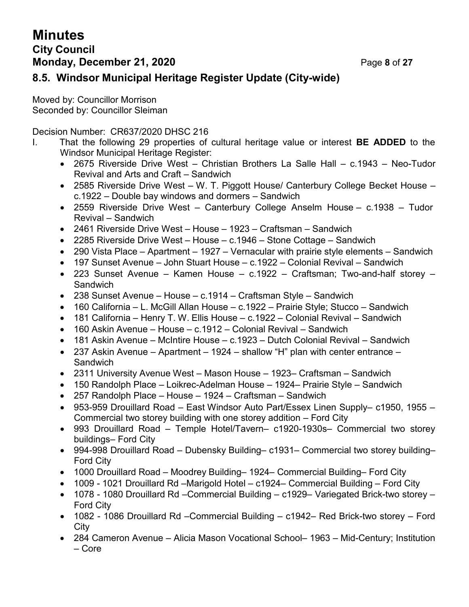# **Minutes City Council Monday, December 21, 2020 Page 8 of 27**

# **8.5. Windsor Municipal Heritage Register Update (City-wide)**

Moved by: Councillor Morrison Seconded by: Councillor Sleiman

Decision Number: CR637/2020 DHSC 216

- I. That the following 29 properties of cultural heritage value or interest **BE ADDED** to the Windsor Municipal Heritage Register:
	- 2675 Riverside Drive West Christian Brothers La Salle Hall c.1943 Neo-Tudor Revival and Arts and Craft – Sandwich
	- 2585 Riverside Drive West W. T. Piggott House/ Canterbury College Becket House c.1922 – Double bay windows and dormers – Sandwich
	- 2559 Riverside Drive West Canterbury College Anselm House c.1938 Tudor Revival – Sandwich
	- 2461 Riverside Drive West House 1923 Craftsman Sandwich
	- 2285 Riverside Drive West House c.1946 Stone Cottage Sandwich
	- 290 Vista Place Apartment 1927 Vernacular with prairie style elements Sandwich
	- 197 Sunset Avenue John Stuart House c.1922 Colonial Revival Sandwich
	- 223 Sunset Avenue Kamen House c.1922 Craftsman; Two-and-half storey **Sandwich**
	- 238 Sunset Avenue House c.1914 Craftsman Style Sandwich
	- 160 California L. McGill Allan House c.1922 Prairie Style; Stucco Sandwich
	- 181 California Henry T. W. Ellis House c.1922 Colonial Revival Sandwich
	- 160 Askin Avenue House c.1912 Colonial Revival Sandwich
	- 181 Askin Avenue McIntire House c.1923 Dutch Colonial Revival Sandwich
	- 237 Askin Avenue Apartment 1924 shallow "H" plan with center entrance **Sandwich**
	- 2311 University Avenue West Mason House 1923– Craftsman Sandwich
	- 150 Randolph Place Loikrec-Adelman House 1924– Prairie Style Sandwich
	- 257 Randolph Place House 1924 Craftsman Sandwich
	- 953-959 Drouillard Road East Windsor Auto Part/Essex Linen Supply– c1950, 1955 Commercial two storey building with one storey addition – Ford City
	- 993 Drouillard Road Temple Hotel/Tavern– c1920-1930s– Commercial two storey buildings– Ford City
	- 994-998 Drouillard Road Dubensky Building– c1931– Commercial two storey building– Ford City
	- 1000 Drouillard Road Moodrey Building– 1924– Commercial Building– Ford City
	- 1009 1021 Drouillard Rd –Marigold Hotel c1924– Commercial Building Ford City
	- 1078 1080 Drouillard Rd –Commercial Building c1929– Variegated Brick-two storey Ford City
	- 1082 1086 Drouillard Rd –Commercial Building c1942– Red Brick-two storey Ford City
	- 284 Cameron Avenue Alicia Mason Vocational School– 1963 Mid-Century; Institution – Core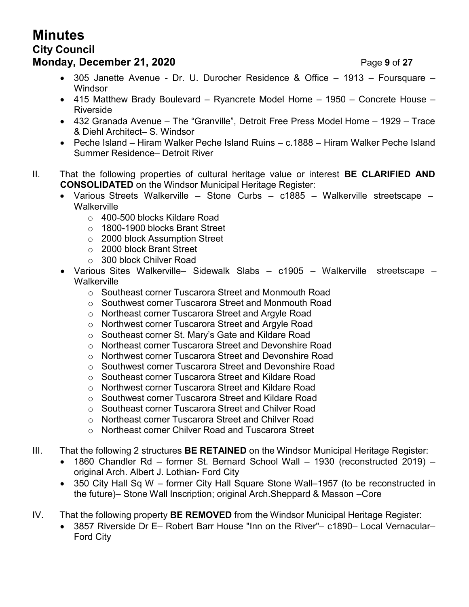# **Minutes**

# **City Council**

# **Monday, December 21, 2020 Page 9 of 27**

- 305 Janette Avenue Dr. U. Durocher Residence & Office 1913 Foursquare **Windsor**
- 415 Matthew Brady Boulevard Ryancrete Model Home 1950 Concrete House Riverside
- 432 Granada Avenue The "Granville", Detroit Free Press Model Home 1929 Trace & Diehl Architect– S. Windsor
- Peche Island Hiram Walker Peche Island Ruins c.1888 Hiram Walker Peche Island Summer Residence– Detroit River
- II. That the following properties of cultural heritage value or interest **BE CLARIFIED AND CONSOLIDATED** on the Windsor Municipal Heritage Register:
	- Various Streets Walkerville Stone Curbs c1885 Walkerville streetscape **Walkerville** 
		- o 400-500 blocks Kildare Road
		- o 1800-1900 blocks Brant Street
		- o 2000 block Assumption Street
		- o 2000 block Brant Street
		- o 300 block Chilver Road
	- Various Sites Walkerville– Sidewalk Slabs c1905 Walkerville streetscape **Walkerville** 
		- o Southeast corner Tuscarora Street and Monmouth Road
		- o Southwest corner Tuscarora Street and Monmouth Road
		- o Northeast corner Tuscarora Street and Argyle Road
		- o Northwest corner Tuscarora Street and Argyle Road
		- o Southeast corner St. Mary's Gate and Kildare Road
		- o Northeast corner Tuscarora Street and Devonshire Road
		- o Northwest corner Tuscarora Street and Devonshire Road
		- o Southwest corner Tuscarora Street and Devonshire Road
		- o Southeast corner Tuscarora Street and Kildare Road
		- o Northwest corner Tuscarora Street and Kildare Road
		- o Southwest corner Tuscarora Street and Kildare Road
		- o Southeast corner Tuscarora Street and Chilver Road
		- o Northeast corner Tuscarora Street and Chilver Road
		- o Northeast corner Chilver Road and Tuscarora Street
- III. That the following 2 structures **BE RETAINED** on the Windsor Municipal Heritage Register:
	- 1860 Chandler Rd former St. Bernard School Wall 1930 (reconstructed 2019) original Arch. Albert J. Lothian- Ford City
	- 350 City Hall Sq W former City Hall Square Stone Wall–1957 (to be reconstructed in the future)– Stone Wall Inscription; original Arch.Sheppard & Masson –Core
- IV. That the following property **BE REMOVED** from the Windsor Municipal Heritage Register:
	- 3857 Riverside Dr E– Robert Barr House "Inn on the River"– c1890– Local Vernacular– Ford City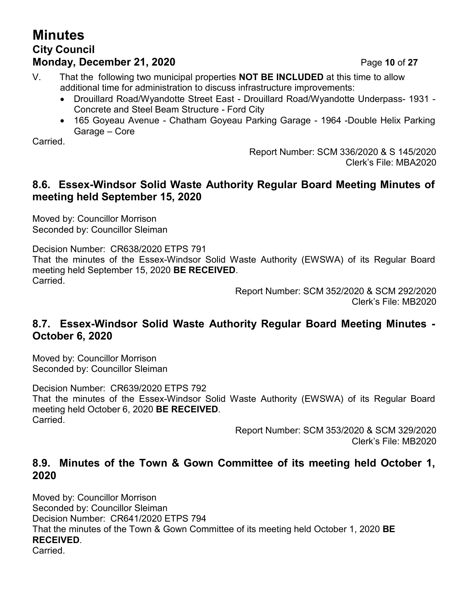# **Minutes City Council Monday, December 21, 2020 Page 10 of 27**

V. That the following two municipal properties **NOT BE INCLUDED** at this time to allow additional time for administration to discuss infrastructure improvements:

- Drouillard Road/Wyandotte Street East Drouillard Road/Wyandotte Underpass- 1931 Concrete and Steel Beam Structure - Ford City
- 165 Goyeau Avenue Chatham Goyeau Parking Garage 1964 -Double Helix Parking Garage – Core

Carried.

Report Number: SCM 336/2020 & S 145/2020 Clerk's File: MBA2020

# **8.6. Essex-Windsor Solid Waste Authority Regular Board Meeting Minutes of meeting held September 15, 2020**

Moved by: Councillor Morrison Seconded by: Councillor Sleiman

Decision Number: CR638/2020 ETPS 791 That the minutes of the Essex-Windsor Solid Waste Authority (EWSWA) of its Regular Board meeting held September 15, 2020 **BE RECEIVED**. Carried.

Report Number: SCM 352/2020 & SCM 292/2020 Clerk's File: MB2020

### **8.7. Essex-Windsor Solid Waste Authority Regular Board Meeting Minutes - October 6, 2020**

Moved by: Councillor Morrison Seconded by: Councillor Sleiman

Decision Number: CR639/2020 ETPS 792 That the minutes of the Essex-Windsor Solid Waste Authority (EWSWA) of its Regular Board meeting held October 6, 2020 **BE RECEIVED**. Carried.

> Report Number: SCM 353/2020 & SCM 329/2020 Clerk's File: MB2020

# **8.9. Minutes of the Town & Gown Committee of its meeting held October 1, 2020**

Moved by: Councillor Morrison Seconded by: Councillor Sleiman Decision Number: CR641/2020 ETPS 794 That the minutes of the Town & Gown Committee of its meeting held October 1, 2020 **BE RECEIVED**. Carried.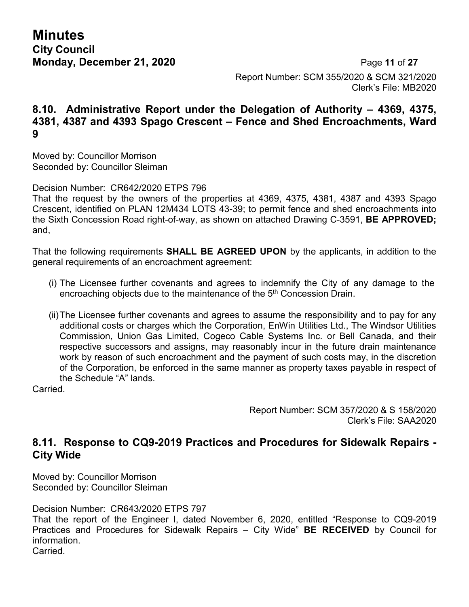**Minutes City Council**

**Monday, December 21, 2020 Page 11 of 27** Report Number: SCM 355/2020 & SCM 321/2020 Clerk's File: MB2020

#### **8.10. Administrative Report under the Delegation of Authority – 4369, 4375, 4381, 4387 and 4393 Spago Crescent – Fence and Shed Encroachments, Ward 9**

Moved by: Councillor Morrison Seconded by: Councillor Sleiman

Decision Number: CR642/2020 ETPS 796

That the request by the owners of the properties at 4369, 4375, 4381, 4387 and 4393 Spago Crescent, identified on PLAN 12M434 LOTS 43-39; to permit fence and shed encroachments into the Sixth Concession Road right-of-way, as shown on attached Drawing C-3591, **BE APPROVED;** and,

That the following requirements **SHALL BE AGREED UPON** by the applicants, in addition to the general requirements of an encroachment agreement:

- (i) The Licensee further covenants and agrees to indemnify the City of any damage to the encroaching objects due to the maintenance of the 5<sup>th</sup> Concession Drain.
- (ii)The Licensee further covenants and agrees to assume the responsibility and to pay for any additional costs or charges which the Corporation, EnWin Utilities Ltd., The Windsor Utilities Commission, Union Gas Limited, Cogeco Cable Systems Inc. or Bell Canada, and their respective successors and assigns, may reasonably incur in the future drain maintenance work by reason of such encroachment and the payment of such costs may, in the discretion of the Corporation, be enforced in the same manner as property taxes payable in respect of the Schedule "A" lands.

Carried.

Report Number: SCM 357/2020 & S 158/2020 Clerk's File: SAA2020

#### **8.11. Response to CQ9-2019 Practices and Procedures for Sidewalk Repairs - City Wide**

Moved by: Councillor Morrison Seconded by: Councillor Sleiman

Decision Number: CR643/2020 ETPS 797

That the report of the Engineer I, dated November 6, 2020, entitled "Response to CQ9-2019 Practices and Procedures for Sidewalk Repairs – City Wide" **BE RECEIVED** by Council for information. **Carried**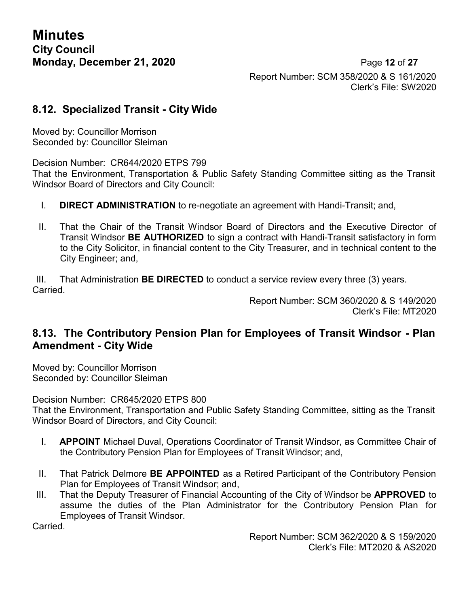**Monday, December 21, 2020 Page 12 of 27** Report Number: SCM 358/2020 & S 161/2020 Clerk's File: SW2020

#### **8.12. Specialized Transit - City Wide**

Moved by: Councillor Morrison Seconded by: Councillor Sleiman

Decision Number: CR644/2020 ETPS 799

That the Environment, Transportation & Public Safety Standing Committee sitting as the Transit Windsor Board of Directors and City Council:

- I. **DIRECT ADMINISTRATION** to re-negotiate an agreement with Handi-Transit; and,
- II. That the Chair of the Transit Windsor Board of Directors and the Executive Director of Transit Windsor **BE AUTHORIZED** to sign a contract with Handi-Transit satisfactory in form to the City Solicitor, in financial content to the City Treasurer, and in technical content to the City Engineer; and,

III. That Administration **BE DIRECTED** to conduct a service review every three (3) years. Carried.

Report Number: SCM 360/2020 & S 149/2020 Clerk's File: MT2020

### **8.13. The Contributory Pension Plan for Employees of Transit Windsor - Plan Amendment - City Wide**

Moved by: Councillor Morrison Seconded by: Councillor Sleiman

Decision Number: CR645/2020 ETPS 800 That the Environment, Transportation and Public Safety Standing Committee, sitting as the Transit Windsor Board of Directors, and City Council:

- I. **APPOINT** Michael Duval, Operations Coordinator of Transit Windsor, as Committee Chair of the Contributory Pension Plan for Employees of Transit Windsor; and,
- II. That Patrick Delmore **BE APPOINTED** as a Retired Participant of the Contributory Pension Plan for Employees of Transit Windsor; and,
- III. That the Deputy Treasurer of Financial Accounting of the City of Windsor be **APPROVED** to assume the duties of the Plan Administrator for the Contributory Pension Plan for Employees of Transit Windsor.

Carried.

Report Number: SCM 362/2020 & S 159/2020 Clerk's File: MT2020 & AS2020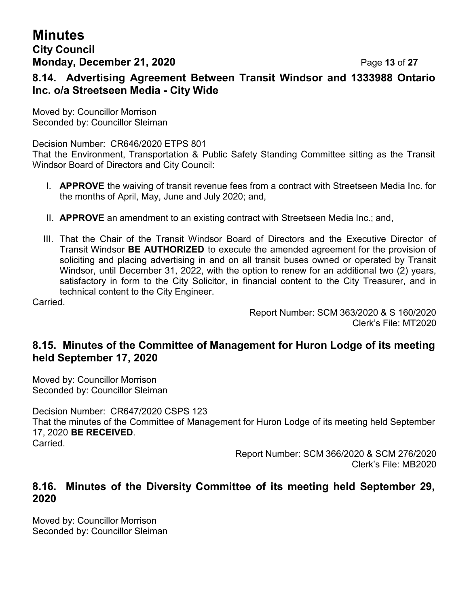# **Minutes**

# **City Council Monday, December 21, 2020 Page 13 of 27**

**8.14. Advertising Agreement Between Transit Windsor and 1333988 Ontario Inc. o/a Streetseen Media - City Wide**

Moved by: Councillor Morrison Seconded by: Councillor Sleiman

Decision Number: CR646/2020 ETPS 801

That the Environment, Transportation & Public Safety Standing Committee sitting as the Transit Windsor Board of Directors and City Council:

- I. **APPROVE** the waiving of transit revenue fees from a contract with Streetseen Media Inc. for the months of April, May, June and July 2020; and,
- II. **APPROVE** an amendment to an existing contract with Streetseen Media Inc.; and,
- III. That the Chair of the Transit Windsor Board of Directors and the Executive Director of Transit Windsor **BE AUTHORIZED** to execute the amended agreement for the provision of soliciting and placing advertising in and on all transit buses owned or operated by Transit Windsor, until December 31, 2022, with the option to renew for an additional two (2) years, satisfactory in form to the City Solicitor, in financial content to the City Treasurer, and in technical content to the City Engineer.

Carried.

Report Number: SCM 363/2020 & S 160/2020 Clerk's File: MT2020

### **8.15. Minutes of the Committee of Management for Huron Lodge of its meeting held September 17, 2020**

Moved by: Councillor Morrison Seconded by: Councillor Sleiman

Decision Number: CR647/2020 CSPS 123 That the minutes of the Committee of Management for Huron Lodge of its meeting held September 17, 2020 **BE RECEIVED**. Carried.

> Report Number: SCM 366/2020 & SCM 276/2020 Clerk's File: MB2020

#### **8.16. Minutes of the Diversity Committee of its meeting held September 29, 2020**

Moved by: Councillor Morrison Seconded by: Councillor Sleiman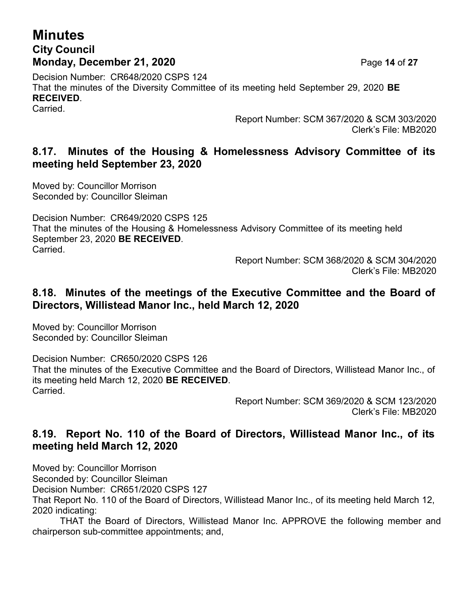# **Minutes City Council Monday, December 21, 2020 Page 14 of 27**

Decision Number: CR648/2020 CSPS 124 That the minutes of the Diversity Committee of its meeting held September 29, 2020 **BE RECEIVED**. Carried.

> Report Number: SCM 367/2020 & SCM 303/2020 Clerk's File: MB2020

## **8.17. Minutes of the Housing & Homelessness Advisory Committee of its meeting held September 23, 2020**

Moved by: Councillor Morrison Seconded by: Councillor Sleiman

Decision Number: CR649/2020 CSPS 125 That the minutes of the Housing & Homelessness Advisory Committee of its meeting held September 23, 2020 **BE RECEIVED**. Carried.

Report Number: SCM 368/2020 & SCM 304/2020 Clerk's File: MB2020

#### **8.18. Minutes of the meetings of the Executive Committee and the Board of Directors, Willistead Manor Inc., held March 12, 2020**

Moved by: Councillor Morrison Seconded by: Councillor Sleiman

Decision Number: CR650/2020 CSPS 126 That the minutes of the Executive Committee and the Board of Directors, Willistead Manor Inc., of its meeting held March 12, 2020 **BE RECEIVED**. Carried.

Report Number: SCM 369/2020 & SCM 123/2020 Clerk's File: MB2020

# **8.19. Report No. 110 of the Board of Directors, Willistead Manor Inc., of its meeting held March 12, 2020**

Moved by: Councillor Morrison

Seconded by: Councillor Sleiman

Decision Number: CR651/2020 CSPS 127

That Report No. 110 of the Board of Directors, Willistead Manor Inc., of its meeting held March 12, 2020 indicating:

THAT the Board of Directors, Willistead Manor Inc. APPROVE the following member and chairperson sub-committee appointments; and,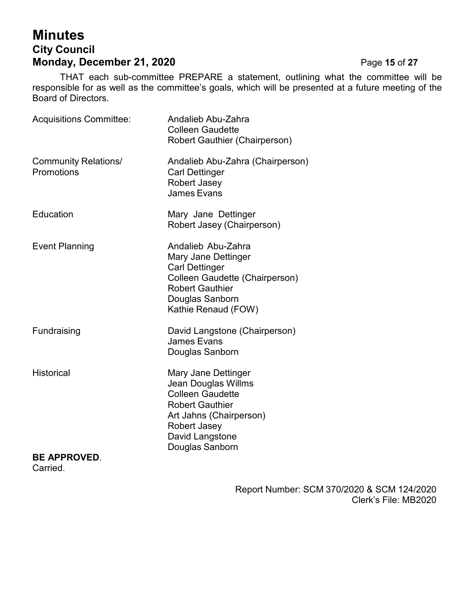# **Minutes City Council Monday, December 21, 2020** Page 15 of 27

THAT each sub-committee PREPARE a statement, outlining what the committee will be responsible for as well as the committee's goals, which will be presented at a future meeting of the Board of Directors.

| <b>Acquisitions Committee:</b>            | Andalieb Abu-Zahra<br><b>Colleen Gaudette</b><br>Robert Gauthier (Chairperson)                                                                                                   |
|-------------------------------------------|----------------------------------------------------------------------------------------------------------------------------------------------------------------------------------|
| <b>Community Relations/</b><br>Promotions | Andalieb Abu-Zahra (Chairperson)<br><b>Carl Dettinger</b><br>Robert Jasey<br><b>James Evans</b>                                                                                  |
| Education                                 | Mary Jane Dettinger<br>Robert Jasey (Chairperson)                                                                                                                                |
| <b>Event Planning</b>                     | Andalieb Abu-Zahra<br>Mary Jane Dettinger<br><b>Carl Dettinger</b><br>Colleen Gaudette (Chairperson)<br><b>Robert Gauthier</b><br>Douglas Sanborn<br>Kathie Renaud (FOW)         |
| Fundraising                               | David Langstone (Chairperson)<br>James Evans<br>Douglas Sanborn                                                                                                                  |
| <b>Historical</b>                         | Mary Jane Dettinger<br>Jean Douglas Willms<br><b>Colleen Gaudette</b><br><b>Robert Gauthier</b><br>Art Jahns (Chairperson)<br>Robert Jasey<br>David Langstone<br>Douglas Sanborn |
| <b>BE APPROVED.</b><br>Carried.           |                                                                                                                                                                                  |

Report Number: SCM 370/2020 & SCM 124/2020 Clerk's File: MB2020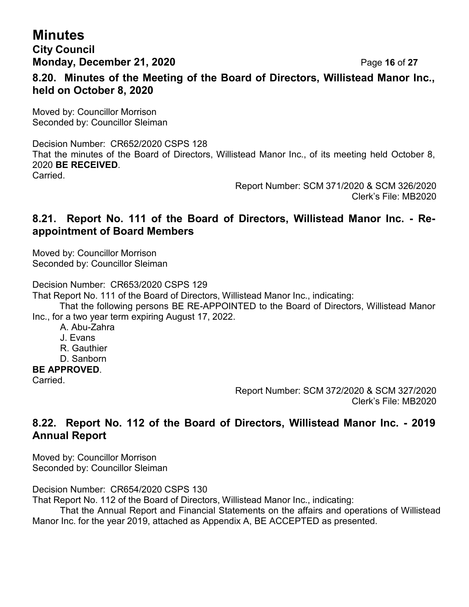# **Minutes**

**City Council Monday, December 21, 2020 Page 16 of 27** 

**8.20. Minutes of the Meeting of the Board of Directors, Willistead Manor Inc., held on October 8, 2020**

Moved by: Councillor Morrison Seconded by: Councillor Sleiman

Decision Number: CR652/2020 CSPS 128 That the minutes of the Board of Directors, Willistead Manor Inc., of its meeting held October 8, 2020 **BE RECEIVED**. Carried.

> Report Number: SCM 371/2020 & SCM 326/2020 Clerk's File: MB2020

#### **8.21. Report No. 111 of the Board of Directors, Willistead Manor Inc. - Reappointment of Board Members**

Moved by: Councillor Morrison Seconded by: Councillor Sleiman

Decision Number: CR653/2020 CSPS 129

That Report No. 111 of the Board of Directors, Willistead Manor Inc., indicating:

That the following persons BE RE-APPOINTED to the Board of Directors, Willistead Manor Inc., for a two year term expiring August 17, 2022.

- A. Abu-Zahra
- J. Evans
- R. Gauthier
- D. Sanborn

#### **BE APPROVED**.

Carried.

Report Number: SCM 372/2020 & SCM 327/2020 Clerk's File: MB2020

# **8.22. Report No. 112 of the Board of Directors, Willistead Manor Inc. - 2019 Annual Report**

Moved by: Councillor Morrison Seconded by: Councillor Sleiman

Decision Number: CR654/2020 CSPS 130

That Report No. 112 of the Board of Directors, Willistead Manor Inc., indicating:

That the Annual Report and Financial Statements on the affairs and operations of Willistead Manor Inc. for the year 2019, attached as Appendix A, BE ACCEPTED as presented.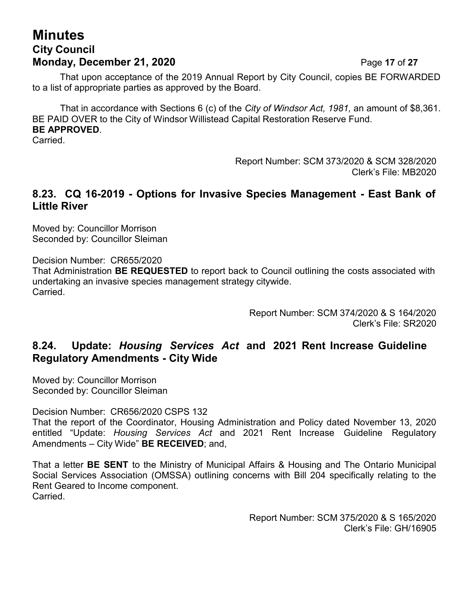# **Minutes City Council Monday, December 21, 2020 Page 17 of 27**

That upon acceptance of the 2019 Annual Report by City Council, copies BE FORWARDED to a list of appropriate parties as approved by the Board.

That in accordance with Sections 6 (c) of the *City of Windsor Act, 1981,* an amount of \$8,361. BE PAID OVER to the City of Windsor Willistead Capital Restoration Reserve Fund. **BE APPROVED**.

Carried.

Report Number: SCM 373/2020 & SCM 328/2020 Clerk's File: MB2020

#### **8.23. CQ 16-2019 - Options for Invasive Species Management - East Bank of Little River**

Moved by: Councillor Morrison Seconded by: Councillor Sleiman

Decision Number: CR655/2020

That Administration **BE REQUESTED** to report back to Council outlining the costs associated with undertaking an invasive species management strategy citywide. Carried.

> Report Number: SCM 374/2020 & S 164/2020 Clerk's File: SR2020

### **8.24. Update:** *Housing Services Act* **and 2021 Rent Increase Guideline Regulatory Amendments - City Wide**

Moved by: Councillor Morrison Seconded by: Councillor Sleiman

Decision Number: CR656/2020 CSPS 132

That the report of the Coordinator, Housing Administration and Policy dated November 13, 2020 entitled "Update: *Housing Services Act* and 2021 Rent Increase Guideline Regulatory Amendments – City Wide" **BE RECEIVED**; and,

That a letter **BE SENT** to the Ministry of Municipal Affairs & Housing and The Ontario Municipal Social Services Association (OMSSA) outlining concerns with Bill 204 specifically relating to the Rent Geared to Income component. **Carried** 

> Report Number: SCM 375/2020 & S 165/2020 Clerk's File: GH/16905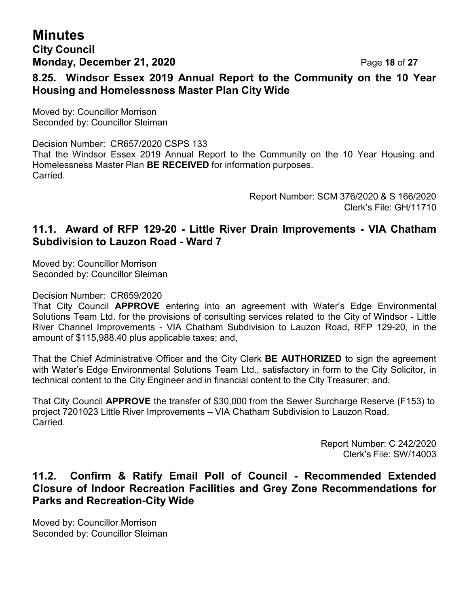# **Minutes**

#### **City Council Monday, December 21, 2020 Page 18 of 27**

# **8.25. Windsor Essex 2019 Annual Report to the Community on the 10 Year Housing and Homelessness Master Plan City Wide**

Moved by: Councillor Morrison Seconded by: Councillor Sleiman

Decision Number: CR657/2020 CSPS 133 That the Windsor Essex 2019 Annual Report to the Community on the 10 Year Housing and Homelessness Master Plan **BE RECEIVED** for information purposes. Carried.

> Report Number: SCM 376/2020 & S 166/2020 Clerk's File: GH/11710

## **11.1. Award of RFP 129-20 - Little River Drain Improvements - VIA Chatham Subdivision to Lauzon Road - Ward 7**

Moved by: Councillor Morrison Seconded by: Councillor Sleiman

Decision Number: CR659/2020

That City Council **APPROVE** entering into an agreement with Water's Edge Environmental Solutions Team Ltd. for the provisions of consulting services related to the City of Windsor - Little River Channel Improvements - VIA Chatham Subdivision to Lauzon Road, RFP 129-20, in the amount of \$115,988.40 plus applicable taxes; and,

That the Chief Administrative Officer and the City Clerk **BE AUTHORIZED** to sign the agreement with Water's Edge Environmental Solutions Team Ltd., satisfactory in form to the City Solicitor, in technical content to the City Engineer and in financial content to the City Treasurer; and,

That City Council **APPROVE** the transfer of \$30,000 from the Sewer Surcharge Reserve (F153) to project 7201023 Little River Improvements – VIA Chatham Subdivision to Lauzon Road. Carried.

> Report Number: C 242/2020 Clerk's File: SW/14003

### **11.2. Confirm & Ratify Email Poll of Council - Recommended Extended Closure of Indoor Recreation Facilities and Grey Zone Recommendations for Parks and Recreation-City Wide**

Moved by: Councillor Morrison Seconded by: Councillor Sleiman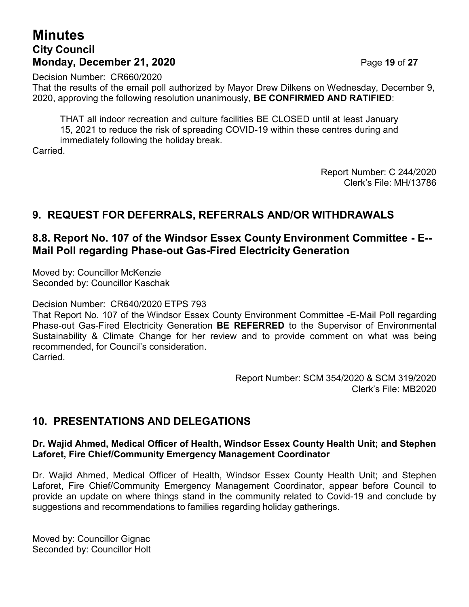# **Minutes City Council Monday, December 21, 2020 Page 19 of 27**

Decision Number: CR660/2020

That the results of the email poll authorized by Mayor Drew Dilkens on Wednesday, December 9, 2020, approving the following resolution unanimously, **BE CONFIRMED AND RATIFIED**:

THAT all indoor recreation and culture facilities BE CLOSED until at least January 15, 2021 to reduce the risk of spreading COVID-19 within these centres during and immediately following the holiday break.

Carried.

Report Number: C 244/2020 Clerk's File: MH/13786

# **9. REQUEST FOR DEFERRALS, REFERRALS AND/OR WITHDRAWALS**

### **8.8. Report No. 107 of the Windsor Essex County Environment Committee - E-- Mail Poll regarding Phase-out Gas-Fired Electricity Generation**

Moved by: Councillor McKenzie Seconded by: Councillor Kaschak

Decision Number: CR640/2020 ETPS 793

That Report No. 107 of the Windsor Essex County Environment Committee -E-Mail Poll regarding Phase-out Gas-Fired Electricity Generation **BE REFERRED** to the Supervisor of Environmental Sustainability & Climate Change for her review and to provide comment on what was being recommended, for Council's consideration. Carried.

> Report Number: SCM 354/2020 & SCM 319/2020 Clerk's File: MB2020

# **10. PRESENTATIONS AND DELEGATIONS**

#### **Dr. Wajid Ahmed, Medical Officer of Health, Windsor Essex County Health Unit; and Stephen Laforet, Fire Chief/Community Emergency Management Coordinator**

Dr. Wajid Ahmed, Medical Officer of Health, Windsor Essex County Health Unit; and Stephen Laforet, Fire Chief/Community Emergency Management Coordinator, appear before Council to provide an update on where things stand in the community related to Covid-19 and conclude by suggestions and recommendations to families regarding holiday gatherings.

Moved by: Councillor Gignac Seconded by: Councillor Holt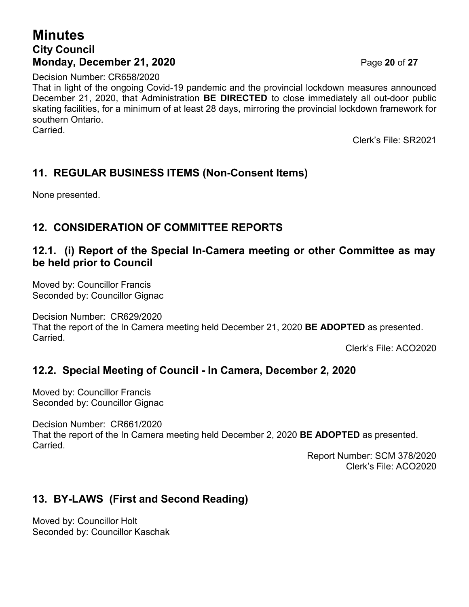# **Minutes City Council Monday, December 21, 2020 Page 20 of 27**

Decision Number: CR658/2020

That in light of the ongoing Covid-19 pandemic and the provincial lockdown measures announced December 21, 2020, that Administration **BE DIRECTED** to close immediately all out-door public skating facilities, for a minimum of at least 28 days, mirroring the provincial lockdown framework for southern Ontario. Carried.

Clerk's File: SR2021

# **11. REGULAR BUSINESS ITEMS (Non-Consent Items)**

None presented.

# **12. CONSIDERATION OF COMMITTEE REPORTS**

### **12.1. (i) Report of the Special In-Camera meeting or other Committee as may be held prior to Council**

Moved by: Councillor Francis Seconded by: Councillor Gignac

Decision Number: CR629/2020

That the report of the In Camera meeting held December 21, 2020 **BE ADOPTED** as presented. Carried.

Clerk's File: ACO2020

# **12.2. Special Meeting of Council - In Camera, December 2, 2020**

Moved by: Councillor Francis Seconded by: Councillor Gignac

Decision Number: CR661/2020

That the report of the In Camera meeting held December 2, 2020 **BE ADOPTED** as presented. **Carried** 

> Report Number: SCM 378/2020 Clerk's File: ACO2020

# **13. BY-LAWS (First and Second Reading)**

Moved by: Councillor Holt Seconded by: Councillor Kaschak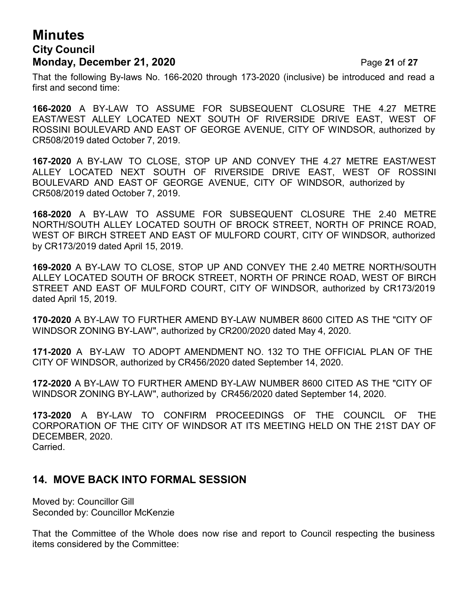# **Minutes City Council Monday, December 21, 2020 Page 21 of 27**

That the following By-laws No. 166-2020 through 173-2020 (inclusive) be introduced and read a first and second time:

**166-2020** A BY-LAW TO ASSUME FOR SUBSEQUENT CLOSURE THE 4.27 METRE EAST/WEST ALLEY LOCATED NEXT SOUTH OF RIVERSIDE DRIVE EAST, WEST OF ROSSINI BOULEVARD AND EAST OF GEORGE AVENUE, CITY OF WINDSOR, authorized by CR508/2019 dated October 7, 2019.

**167-2020** A BY-LAW TO CLOSE, STOP UP AND CONVEY THE 4.27 METRE EAST/WEST ALLEY LOCATED NEXT SOUTH OF RIVERSIDE DRIVE EAST, WEST OF ROSSINI BOULEVARD AND EAST OF GEORGE AVENUE, CITY OF WINDSOR, authorized by CR508/2019 dated October 7, 2019.

**168-2020** A BY-LAW TO ASSUME FOR SUBSEQUENT CLOSURE THE 2.40 METRE NORTH/SOUTH ALLEY LOCATED SOUTH OF BROCK STREET, NORTH OF PRINCE ROAD, WEST OF BIRCH STREET AND EAST OF MULFORD COURT, CITY OF WINDSOR, authorized by CR173/2019 dated April 15, 2019.

**169-2020** A BY-LAW TO CLOSE, STOP UP AND CONVEY THE 2.40 METRE NORTH/SOUTH ALLEY LOCATED SOUTH OF BROCK STREET, NORTH OF PRINCE ROAD, WEST OF BIRCH STREET AND EAST OF MULFORD COURT, CITY OF WINDSOR, authorized by CR173/2019 dated April 15, 2019.

**170-2020** A BY-LAW TO FURTHER AMEND BY-LAW NUMBER 8600 CITED AS THE "CITY OF WINDSOR ZONING BY-LAW", authorized by CR200/2020 dated May 4, 2020.

**171-2020** A BY-LAW TO ADOPT AMENDMENT NO. 132 TO THE OFFICIAL PLAN OF THE CITY OF WINDSOR, authorized by CR456/2020 dated September 14, 2020.

**172-2020** A BY-LAW TO FURTHER AMEND BY-LAW NUMBER 8600 CITED AS THE "CITY OF WINDSOR ZONING BY-LAW", authorized by CR456/2020 dated September 14, 2020.

**173-2020** A BY-LAW TO CONFIRM PROCEEDINGS OF THE COUNCIL OF THE CORPORATION OF THE CITY OF WINDSOR AT ITS MEETING HELD ON THE 21ST DAY OF DECEMBER, 2020. Carried.

### **14. MOVE BACK INTO FORMAL SESSION**

Moved by: Councillor Gill Seconded by: Councillor McKenzie

That the Committee of the Whole does now rise and report to Council respecting the business items considered by the Committee: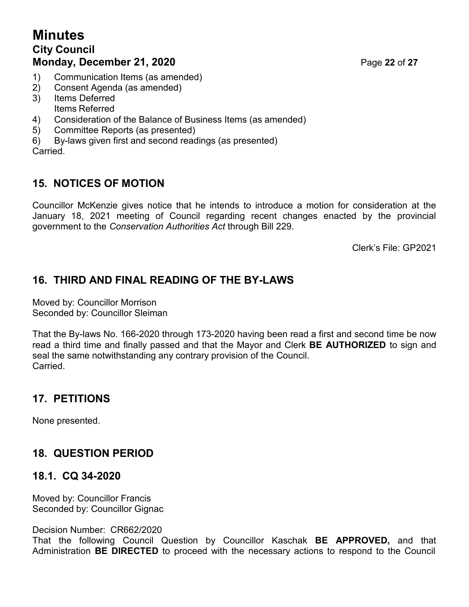# **Minutes City Council Monday, December 21, 2020 Page 22 of 27**

- 1) Communication Items (as amended)
- 2) Consent Agenda (as amended)
- 3) Items Deferred
- Items Referred
- 4) Consideration of the Balance of Business Items (as amended)
- 5) Committee Reports (as presented)
- 6) By-laws given first and second readings (as presented)

Carried.

# **15. NOTICES OF MOTION**

Councillor McKenzie gives notice that he intends to introduce a motion for consideration at the January 18, 2021 meeting of Council regarding recent changes enacted by the provincial government to the *Conservation Authorities Act* through Bill 229.

Clerk's File: GP2021

# **16. THIRD AND FINAL READING OF THE BY-LAWS**

Moved by: Councillor Morrison Seconded by: Councillor Sleiman

That the By-laws No. 166-2020 through 173-2020 having been read a first and second time be now read a third time and finally passed and that the Mayor and Clerk **BE AUTHORIZED** to sign and seal the same notwithstanding any contrary provision of the Council. Carried.

# **17. PETITIONS**

None presented.

# **18. QUESTION PERIOD**

# **18.1. CQ 34-2020**

Moved by: Councillor Francis Seconded by: Councillor Gignac

### Decision Number: CR662/2020

That the following Council Question by Councillor Kaschak **BE APPROVED,** and that Administration **BE DIRECTED** to proceed with the necessary actions to respond to the Council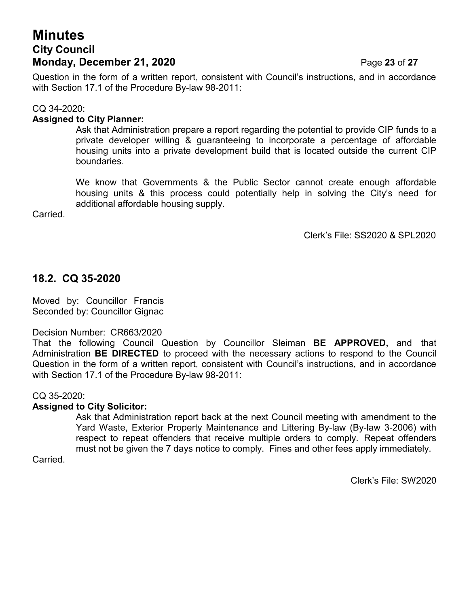# **Minutes City Council Monday, December 21, 2020 Page 23 of 27**

Question in the form of a written report, consistent with Council's instructions, and in accordance with Section 17.1 of the Procedure By-law 98-2011:

#### CQ 34-2020:

#### **Assigned to City Planner:**

Ask that Administration prepare a report regarding the potential to provide CIP funds to a private developer willing & guaranteeing to incorporate a percentage of affordable housing units into a private development build that is located outside the current CIP boundaries.

We know that Governments & the Public Sector cannot create enough affordable housing units & this process could potentially help in solving the City's need for additional affordable housing supply.

Carried.

Clerk's File: SS2020 & SPL2020

#### **18.2. CQ 35-2020**

Moved by: Councillor Francis Seconded by: Councillor Gignac

#### Decision Number: CR663/2020

That the following Council Question by Councillor Sleiman **BE APPROVED,** and that Administration **BE DIRECTED** to proceed with the necessary actions to respond to the Council Question in the form of a written report, consistent with Council's instructions, and in accordance with Section 17.1 of the Procedure By-law 98-2011:

#### CQ 35-2020:

#### **Assigned to City Solicitor:**

Ask that Administration report back at the next Council meeting with amendment to the Yard Waste, Exterior Property Maintenance and Littering By-law (By-law 3-2006) with respect to repeat offenders that receive multiple orders to comply. Repeat offenders must not be given the 7 days notice to comply. Fines and other fees apply immediately.

Carried.

Clerk's File: SW2020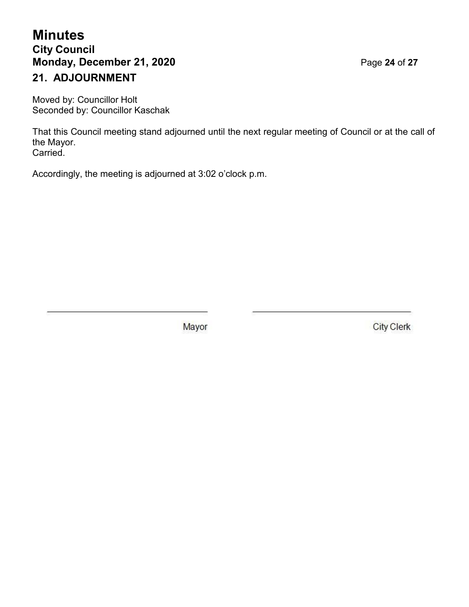# **Minutes City Council Monday, December 21, 2020 Page 24 of 27 21. ADJOURNMENT**

Moved by: Councillor Holt Seconded by: Councillor Kaschak

That this Council meeting stand adjourned until the next regular meeting of Council or at the call of the Mayor. Carried.

Accordingly, the meeting is adjourned at 3:02 o'clock p.m.

Mayor

**City Clerk**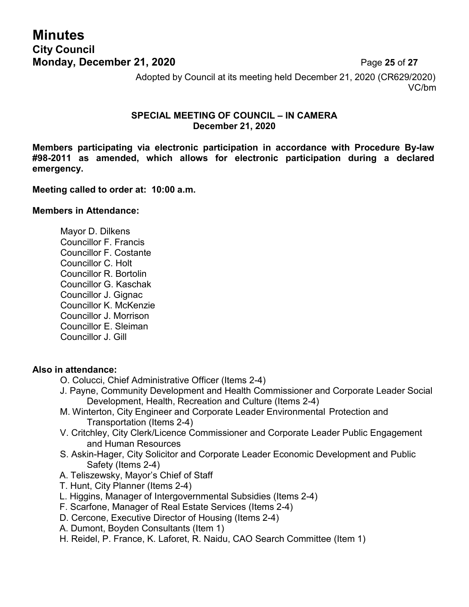# **Minutes City Council Monday, December 21, 2020 Page 25 of 27**

Adopted by Council at its meeting held December 21, 2020 (CR629/2020) VC/bm

#### **SPECIAL MEETING OF COUNCIL – IN CAMERA December 21, 2020**

**Members participating via electronic participation in accordance with Procedure By-law #98-2011 as amended, which allows for electronic participation during a declared emergency.**

**Meeting called to order at: 10:00 a.m.**

#### **Members in Attendance:**

Mayor D. Dilkens Councillor F. Francis Councillor F. Costante Councillor C. Holt Councillor R. Bortolin Councillor G. Kaschak Councillor J. Gignac Councillor K. McKenzie Councillor J. Morrison Councillor E. Sleiman Councillor J. Gill

#### **Also in attendance:**

- O. Colucci, Chief Administrative Officer (Items 2-4)
- J. Payne, Community Development and Health Commissioner and Corporate Leader Social Development, Health, Recreation and Culture (Items 2-4)
- M. Winterton, City Engineer and Corporate Leader Environmental Protection and Transportation (Items 2-4)
- V. Critchley, City Clerk/Licence Commissioner and Corporate Leader Public Engagement and Human Resources
- S. Askin-Hager, City Solicitor and Corporate Leader Economic Development and Public Safety (Items 2-4)
- A. Teliszewsky, Mayor's Chief of Staff
- T. Hunt, City Planner (Items 2-4)
- L. Higgins, Manager of Intergovernmental Subsidies (Items 2-4)
- F. Scarfone, Manager of Real Estate Services (Items 2-4)
- D. Cercone, Executive Director of Housing (Items 2-4)
- A. Dumont, Boyden Consultants (Item 1)
- H. Reidel, P. France, K. Laforet, R. Naidu, CAO Search Committee (Item 1)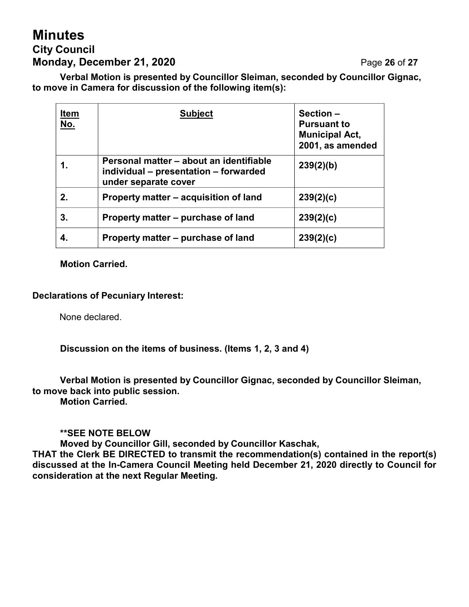# **Minutes City Council Monday, December 21, 2020 Page 26 of 27**

**Verbal Motion is presented by Councillor Sleiman, seconded by Councillor Gignac, to move in Camera for discussion of the following item(s):**

| <u>Item</u><br><u>No.</u> | <b>Subject</b>                                                                                           | Section-<br><b>Pursuant to</b><br><b>Municipal Act,</b><br>2001, as amended |
|---------------------------|----------------------------------------------------------------------------------------------------------|-----------------------------------------------------------------------------|
|                           | Personal matter – about an identifiable<br>individual – presentation – forwarded<br>under separate cover | 239(2)(b)                                                                   |
| 2.                        | Property matter - acquisition of land                                                                    | 239(2)(c)                                                                   |
| 3.                        | Property matter – purchase of land                                                                       | 239(2)(c)                                                                   |
|                           | Property matter – purchase of land                                                                       | 239(2)(c)                                                                   |

**Motion Carried.**

#### **Declarations of Pecuniary Interest:**

None declared.

**Discussion on the items of business. (Items 1, 2, 3 and 4)**

**Verbal Motion is presented by Councillor Gignac, seconded by Councillor Sleiman, to move back into public session. Motion Carried.**

#### **\*\*SEE NOTE BELOW**

**Moved by Councillor Gill, seconded by Councillor Kaschak,**

**THAT the Clerk BE DIRECTED to transmit the recommendation(s) contained in the report(s) discussed at the In-Camera Council Meeting held December 21, 2020 directly to Council for consideration at the next Regular Meeting.**